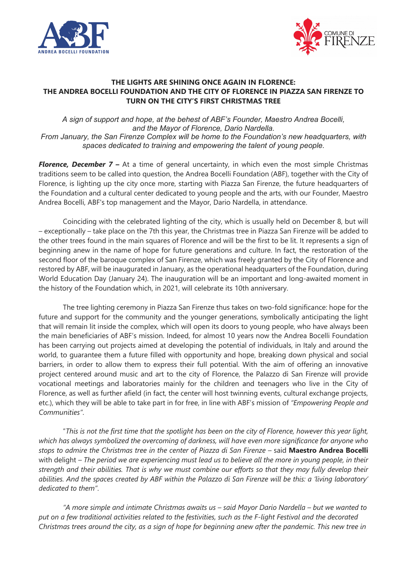



## **THE LIGHTS ARE SHINING ONCE AGAIN IN FLORENCE: THE ANDREA BOCELLI FOUNDATION AND THE CITY OF FLORENCE IN PIAZZA SAN FIRENZE TO TURN ON THE CITY'S FIRST CHRISTMAS TREE**

*A sign of support and hope, at the behest of ABF's Founder, Maestro Andrea Bocelli, and the Mayor of Florence, Dario Nardella. From January, the San Firenze Complex will be home to the Foundation's new headquarters, with spaces dedicated to training and empowering the talent of young people.*

*Florence, December 7 –* At a time of general uncertainty, in which even the most simple Christmas traditions seem to be called into question, the Andrea Bocelli Foundation (ABF), together with the City of Florence, is lighting up the city once more, starting with Piazza San Firenze, the future headquarters of the Foundation and a cultural center dedicated to young people and the arts, with our Founder, Maestro Andrea Bocelli, ABF's top management and the Mayor, Dario Nardella, in attendance.

Coinciding with the celebrated lighting of the city, which is usually held on December 8, but will – exceptionally – take place on the 7th this year, the Christmas tree in Piazza San Firenze will be added to the other trees found in the main squares of Florence and will be the first to be lit. It represents a sign of beginning anew in the name of hope for future generations and culture. In fact, the restoration of the second floor of the baroque complex of San Firenze, which was freely granted by the City of Florence and restored by ABF, will be inaugurated in January, as the operational headquarters of the Foundation, during World Education Day (January 24). The inauguration will be an important and long-awaited moment in the history of the Foundation which, in 2021, will celebrate its 10th anniversary.

The tree lighting ceremony in Piazza San Firenze thus takes on two-fold significance: hope for the future and support for the community and the younger generations, symbolically anticipating the light that will remain lit inside the complex, which will open its doors to young people, who have always been the main beneficiaries of ABF's mission. Indeed, for almost 10 years now the Andrea Bocelli Foundation has been carrying out projects aimed at developing the potential of individuals, in Italy and around the world, to guarantee them a future filled with opportunity and hope, breaking down physical and social barriers, in order to allow them to express their full potential. With the aim of offering an innovative project centered around music and art to the city of Florence, the Palazzo di San Firenze will provide vocational meetings and laboratories mainly for the children and teenagers who live in the City of Florence, as well as further afield (in fact, the center will host twinning events, cultural exchange projects, etc.), which they will be able to take part in for free, in line with ABF's mission of *"Empowering People and Communities"*.

"*This is not the first time that the spotlight has been on the city of Florence, however this year light, which has always symbolized the overcoming of darkness, will have even more significance for anyone who stops to admire the Christmas tree in the center of Piazza di San Firenze –* said **Maestro Andrea Bocelli** with delight *– The period we are experiencing must lead us to believe all the more in young people, in their strength and their abilities. That is why we must combine our efforts so that they may fully develop their abilities. And the spaces created by ABF within the Palazzo di San Firenze will be this: a 'living laboratory' dedicated to them"*.

*"A more simple and intimate Christmas awaits us – said Mayor Dario Nardella – but we wanted to put on a few traditional activities related to the festivities, such as the F-light Festival and the decorated Christmas trees around the city, as a sign of hope for beginning anew after the pandemic. This new tree in*